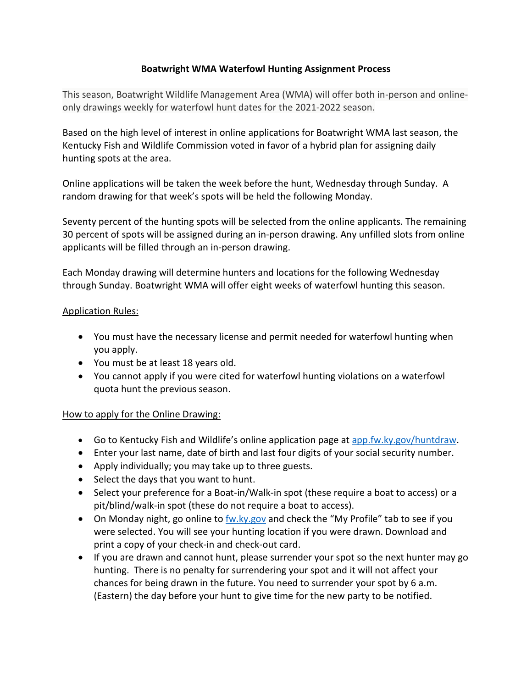## **Boatwright WMA Waterfowl Hunting Assignment Process**

This season, Boatwright Wildlife Management Area (WMA) will offer both in-person and onlineonly drawings weekly for waterfowl hunt dates for the 2021-2022 season.

Based on the high level of interest in online applications for Boatwright WMA last season, the Kentucky Fish and Wildlife Commission voted in favor of a hybrid plan for assigning daily hunting spots at the area.

Online applications will be taken the week before the hunt, Wednesday through Sunday. A random drawing for that week's spots will be held the following Monday.

Seventy percent of the hunting spots will be selected from the online applicants. The remaining 30 percent of spots will be assigned during an in-person drawing. Any unfilled slots from online applicants will be filled through an in-person drawing.

Each Monday drawing will determine hunters and locations for the following Wednesday through Sunday. Boatwright WMA will offer eight weeks of waterfowl hunting this season.

## **Application Rules:**

- You must have the necessary license and permit needed for waterfowl hunting when you apply.
- You must be at least 18 years old.
- You cannot apply if you were cited for waterfowl hunting violations on a waterfowl quota hunt the previous season.

## How to apply for the Online Drawing:

- Go to Kentucky Fish and Wildlife's online application page at [app.fw.ky.gov/huntdraw.](https://app.fw.ky.gov/huntdraw)
- Enter your last name, date of birth and last four digits of your social security number.
- Apply individually; you may take up to three guests.
- Select the days that you want to hunt.
- Select your preference for a Boat-in/Walk-in spot (these require a boat to access) or a pit/blind/walk-in spot (these do not require a boat to access).
- On Monday night, go online t[o fw.ky.gov](https://fw.ky.gov/) and check the "My Profile" tab to see if you were selected. You will see your hunting location if you were drawn. Download and print a copy of your check-in and check-out card.
- If you are drawn and cannot hunt, please surrender your spot so the next hunter may go hunting. There is no penalty for surrendering your spot and it will not affect your chances for being drawn in the future. You need to surrender your spot by 6 a.m. (Eastern) the day before your hunt to give time for the new party to be notified.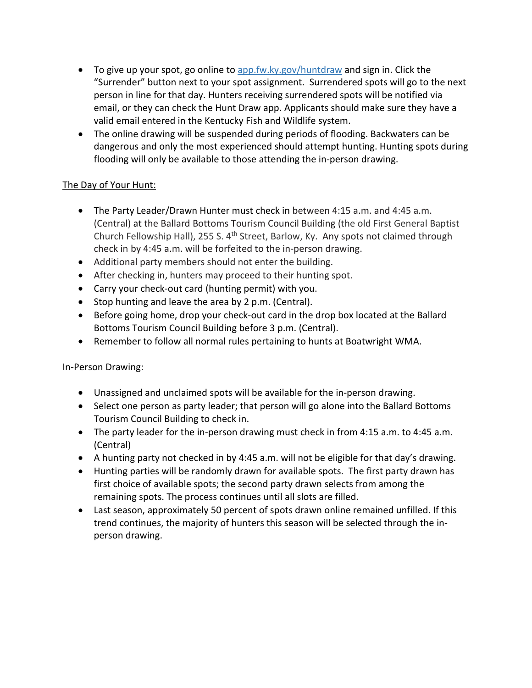- To give up your spot, [go online to app.fw.ky.gov/huntdraw](https://app.fw.ky.gov/huntdraw) and sign in. Click the "Surrender" button next to your spot assignment. Surrendered spots will go to the next person in line for that day. Hunters receiving surrendered spots will be notified via email, or they can check the Hunt Draw app. Applicants should make sure they have a valid email entered in the Kentucky Fish and Wildlife system.
- The online drawing will be suspended during periods of flooding. Backwaters can be dangerous and only the most experienced should attempt hunting. Hunting spots during flooding will only be available to those attending the in-person drawing.

## The Day of Your Hunt:

- The Party Leader/Drawn Hunter must check in between 4:15 a.m. and 4:45 a.m. (Central) at the Ballard Bottoms Tourism Council Building (the old First General Baptist Church Fellowship Hall), 255 S. 4<sup>th</sup> Street, Barlow, Ky. Any spots not claimed through check in by 4:45 a.m. will be forfeited to the in-person drawing.
- Additional party members should not enter the building.
- After checking in, hunters may proceed to their hunting spot.
- Carry your check-out card (hunting permit) with you.
- Stop hunting and leave the area by 2 p.m. (Central).
- Before going home, drop your check-out card in the drop box located at the Ballard Bottoms Tourism Council Building before 3 p.m. (Central).
- Remember to follow all normal rules pertaining to hunts at Boatwright WMA.

In-Person Drawing:

- Unassigned and unclaimed spots will be available for the in-person drawing.
- Select one person as party leader; that person will go alone into the Ballard Bottoms Tourism Council Building to check in.
- The party leader for the in-person drawing must check in from 4:15 a.m. to 4:45 a.m. (Central)
- A hunting party not checked in by 4:45 a.m. will not be eligible for that day's drawing.
- Hunting parties will be randomly drawn for available spots. The first party drawn has first choice of available spots; the second party drawn selects from among the remaining spots. The process continues until all slots are filled.
- Last season, approximately 50 percent of spots drawn online remained unfilled. If this trend continues, the majority of hunters this season will be selected through the inperson drawing.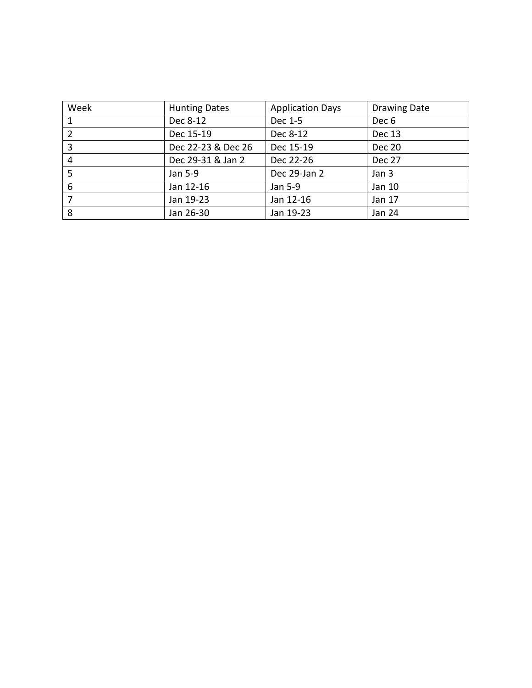| Week | <b>Hunting Dates</b> | <b>Application Days</b> | Drawing Date  |
|------|----------------------|-------------------------|---------------|
|      | Dec 8-12             | Dec 1-5                 | Dec 6         |
| 2    | Dec 15-19            | Dec 8-12                | <b>Dec 13</b> |
| 3    | Dec 22-23 & Dec 26   | Dec 15-19               | <b>Dec 20</b> |
| 4    | Dec 29-31 & Jan 2    | Dec 22-26               | Dec 27        |
| 5    | Jan 5-9              | Dec 29-Jan 2            | Jan 3         |
| 6    | Jan 12-16            | Jan 5-9                 | Jan 10        |
|      | Jan 19-23            | Jan 12-16               | Jan 17        |
| 8    | Jan 26-30            | Jan 19-23               | <b>Jan 24</b> |